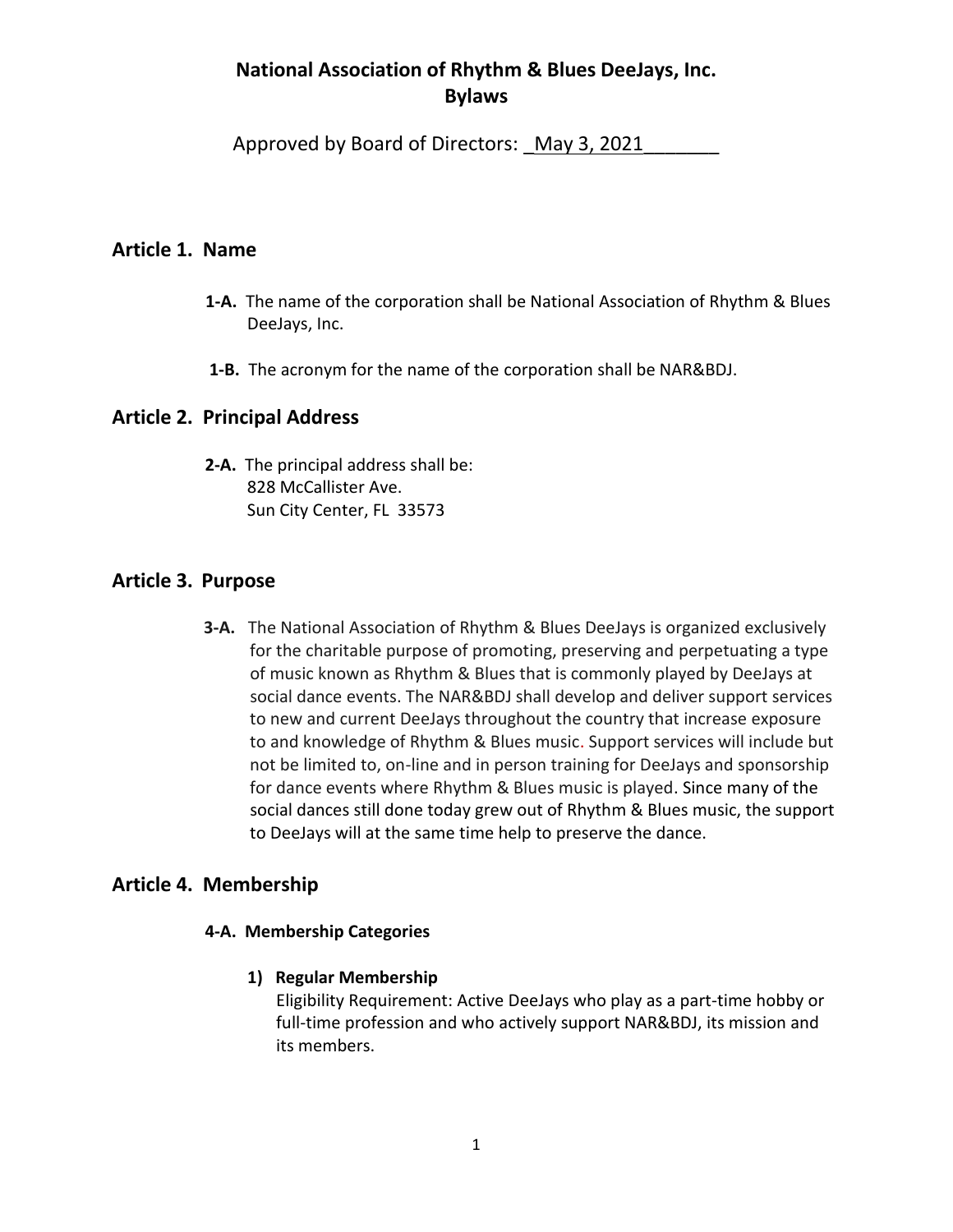# **National Association of Rhythm & Blues DeeJays, Inc. Bylaws**

Approved by Board of Directors: May 3, 2021

## **Article 1. Name**

- **1-A.** The name of the corporation shall be National Association of Rhythm & Blues DeeJays, Inc.
- **1-B.** The acronym for the name of the corporation shall be NAR&BDJ.

## **Article 2. Principal Address**

 **2-A.** The principal address shall be: 828 McCallister Ave. Sun City Center, FL 33573

## **Article 3. Purpose**

 **3-A.** The National Association of Rhythm & Blues DeeJays is organized exclusively for the charitable purpose of promoting, preserving and perpetuating a type of music known as Rhythm & Blues that is commonly played by DeeJays at social dance events. The NAR&BDJ shall develop and deliver support services to new and current DeeJays throughout the country that increase exposure to and knowledge of Rhythm & Blues music. Support services will include but not be limited to, on-line and in person training for DeeJays and sponsorship for dance events where Rhythm & Blues music is played. Since many of the social dances still done today grew out of Rhythm & Blues music, the support to DeeJays will at the same time help to preserve the dance.

# **Article 4. Membership**

### **4-A. Membership Categories**

### **1) Regular Membership**

 Eligibility Requirement: Active DeeJays who play as a part-time hobby or full-time profession and who actively support NAR&BDJ, its mission and its members.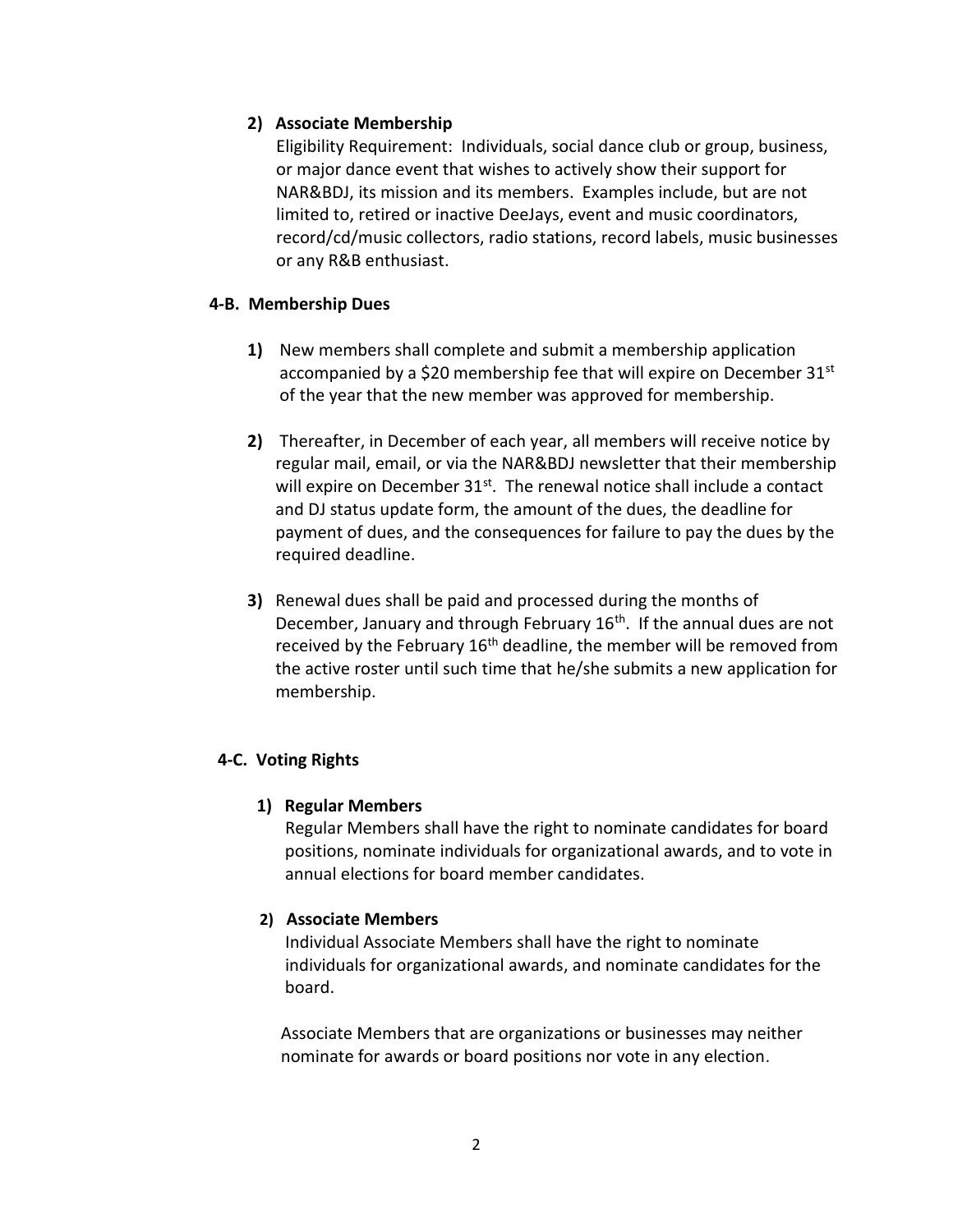### **2) Associate Membership**

 Eligibility Requirement: Individuals, social dance club or group, business, or major dance event that wishes to actively show their support for NAR&BDJ, its mission and its members. Examples include, but are not limited to, retired or inactive DeeJays, event and music coordinators, record/cd/music collectors, radio stations, record labels, music businesses or any R&B enthusiast.

### **4-B. Membership Dues**

- **1)** New members shall complete and submit a membership application accompanied by a \$20 membership fee that will expire on December  $31<sup>st</sup>$ of the year that the new member was approved for membership.
- **2)** Thereafter, in December of each year, all members will receive notice by regular mail, email, or via the NAR&BDJ newsletter that their membership will expire on December 31<sup>st</sup>. The renewal notice shall include a contact and DJ status update form, the amount of the dues, the deadline for payment of dues, and the consequences for failure to pay the dues by the required deadline.
- **3)** Renewal dues shall be paid and processed during the months of December, January and through February 16<sup>th</sup>. If the annual dues are not received by the February  $16<sup>th</sup>$  deadline, the member will be removed from the active roster until such time that he/she submits a new application for membership.

### **4-C. Voting Rights**

### **1) Regular Members**

 Regular Members shall have the right to nominate candidates for board positions, nominate individuals for organizational awards, and to vote in annual elections for board member candidates.

### **2) Associate Members**

 Individual Associate Members shall have the right to nominate individuals for organizational awards, and nominate candidates for the board.

 Associate Members that are organizations or businesses may neither nominate for awards or board positions nor vote in any election.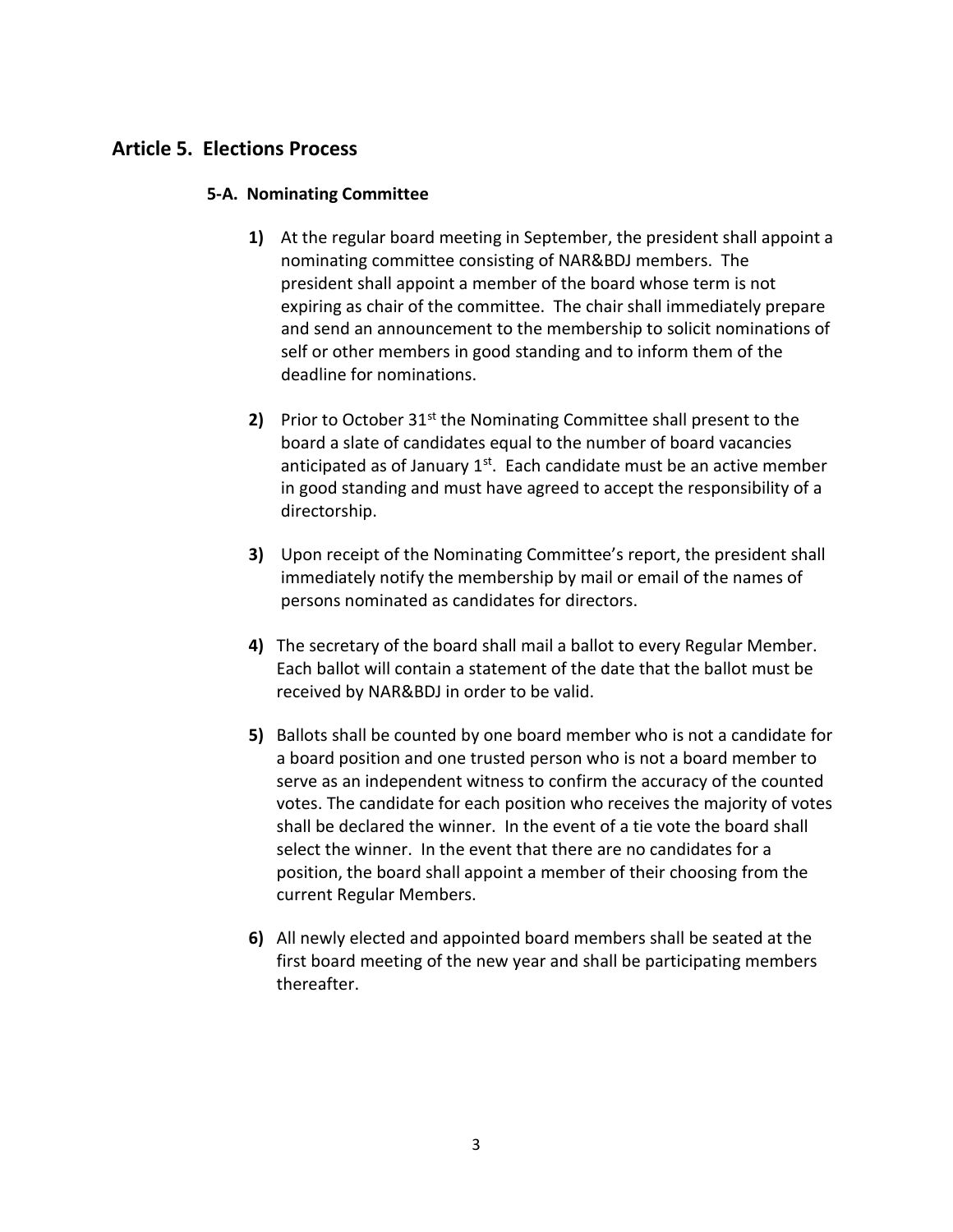# **Article 5. Elections Process**

#### **5-A. Nominating Committee**

- **1)** At the regular board meeting in September, the president shall appoint a nominating committee consisting of NAR&BDJ members. The president shall appoint a member of the board whose term is not expiring as chair of the committee. The chair shall immediately prepare and send an announcement to the membership to solicit nominations of self or other members in good standing and to inform them of the deadline for nominations.
- **2)** Prior to October 31<sup>st</sup> the Nominating Committee shall present to the board a slate of candidates equal to the number of board vacancies anticipated as of January  $1<sup>st</sup>$ . Each candidate must be an active member in good standing and must have agreed to accept the responsibility of a directorship.
- **3)** Upon receipt of the Nominating Committee's report, the president shall immediately notify the membership by mail or email of the names of persons nominated as candidates for directors.
- **4)** The secretary of the board shall mail a ballot to every Regular Member. Each ballot will contain a statement of the date that the ballot must be received by NAR&BDJ in order to be valid.
- **5)** Ballots shall be counted by one board member who is not a candidate for a board position and one trusted person who is not a board member to serve as an independent witness to confirm the accuracy of the counted votes. The candidate for each position who receives the majority of votes shall be declared the winner. In the event of a tie vote the board shall select the winner. In the event that there are no candidates for a position, the board shall appoint a member of their choosing from the current Regular Members.
- **6)** All newly elected and appointed board members shall be seated at the first board meeting of the new year and shall be participating members thereafter.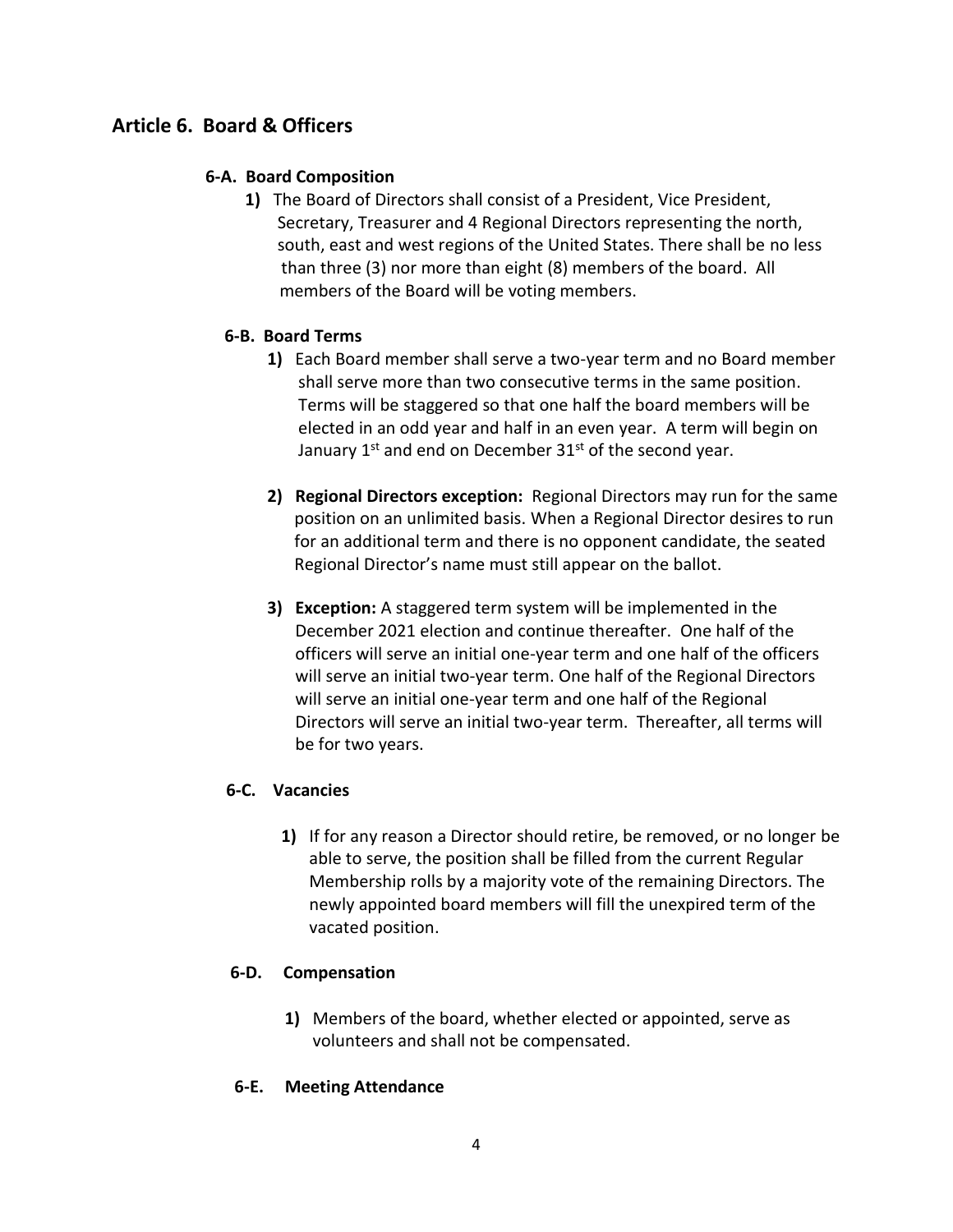# **Article 6. Board & Officers**

### **6-A. Board Composition**

**1)** The Board of Directors shall consist of a President, Vice President, Secretary, Treasurer and 4 Regional Directors representing the north, south, east and west regions of the United States. There shall be no less than three (3) nor more than eight (8) members of the board. All members of the Board will be voting members.

### **6-B. Board Terms**

- **1)** Each Board member shall serve a two-year term and no Board member shall serve more than two consecutive terms in the same position. Terms will be staggered so that one half the board members will be elected in an odd year and half in an even year. A term will begin on January 1st and end on December 31st of the second year.
- **2) Regional Directors exception:** Regional Directors may run for the same position on an unlimited basis. When a Regional Director desires to run for an additional term and there is no opponent candidate, the seated Regional Director's name must still appear on the ballot.
- **3) Exception:** A staggered term system will be implemented in the December 2021 election and continue thereafter. One half of the officers will serve an initial one-year term and one half of the officers will serve an initial two-year term. One half of the Regional Directors will serve an initial one-year term and one half of the Regional Directors will serve an initial two-year term. Thereafter, all terms will be for two years.

### **6-C. Vacancies**

**1)** If for any reason a Director should retire, be removed, or no longer be able to serve, the position shall be filled from the current Regular Membership rolls by a majority vote of the remaining Directors. The newly appointed board members will fill the unexpired term of the vacated position.

### **6-D. Compensation**

**1)** Members of the board, whether elected or appointed, serve as volunteers and shall not be compensated.

### **6-E. Meeting Attendance**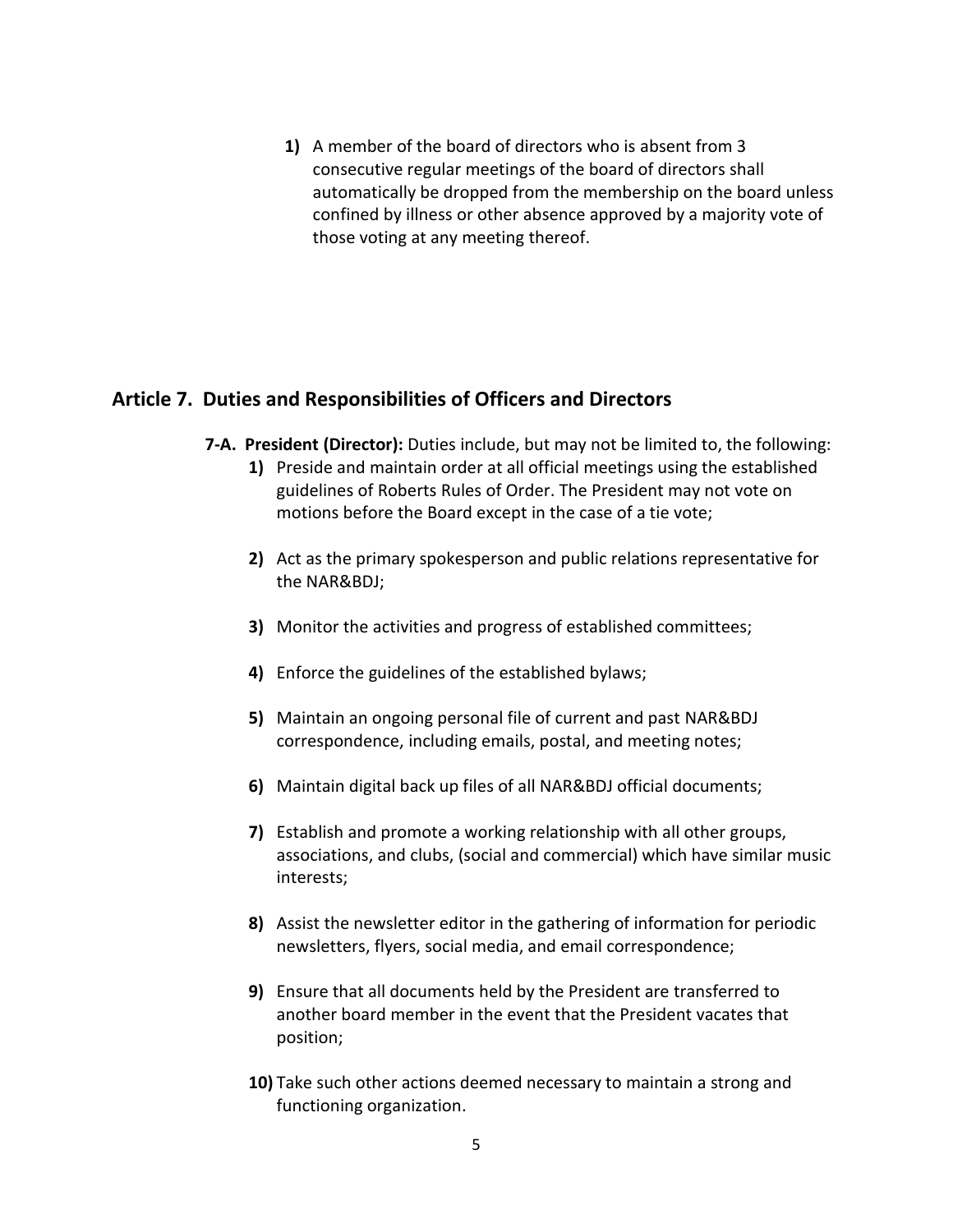**1)** A member of the board of directors who is absent from 3 consecutive regular meetings of the board of directors shall automatically be dropped from the membership on the board unless confined by illness or other absence approved by a majority vote of those voting at any meeting thereof.

### **Article 7. Duties and Responsibilities of Officers and Directors**

- **7-A. President (Director):** Duties include, but may not be limited to, the following:
	- **1)** Preside and maintain order at all official meetings using the established guidelines of Roberts Rules of Order. The President may not vote on motions before the Board except in the case of a tie vote;
	- **2)** Act as the primary spokesperson and public relations representative for the NAR&BDJ;
	- **3)** Monitor the activities and progress of established committees;
	- **4)** Enforce the guidelines of the established bylaws;
	- **5)** Maintain an ongoing personal file of current and past NAR&BDJ correspondence, including emails, postal, and meeting notes;
	- **6)** Maintain digital back up files of all NAR&BDJ official documents;
	- **7)** Establish and promote a working relationship with all other groups, associations, and clubs, (social and commercial) which have similar music interests;
	- **8)** Assist the newsletter editor in the gathering of information for periodic newsletters, flyers, social media, and email correspondence;
	- **9)** Ensure that all documents held by the President are transferred to another board member in the event that the President vacates that position;
	- **10)** Take such other actions deemed necessary to maintain a strong and functioning organization.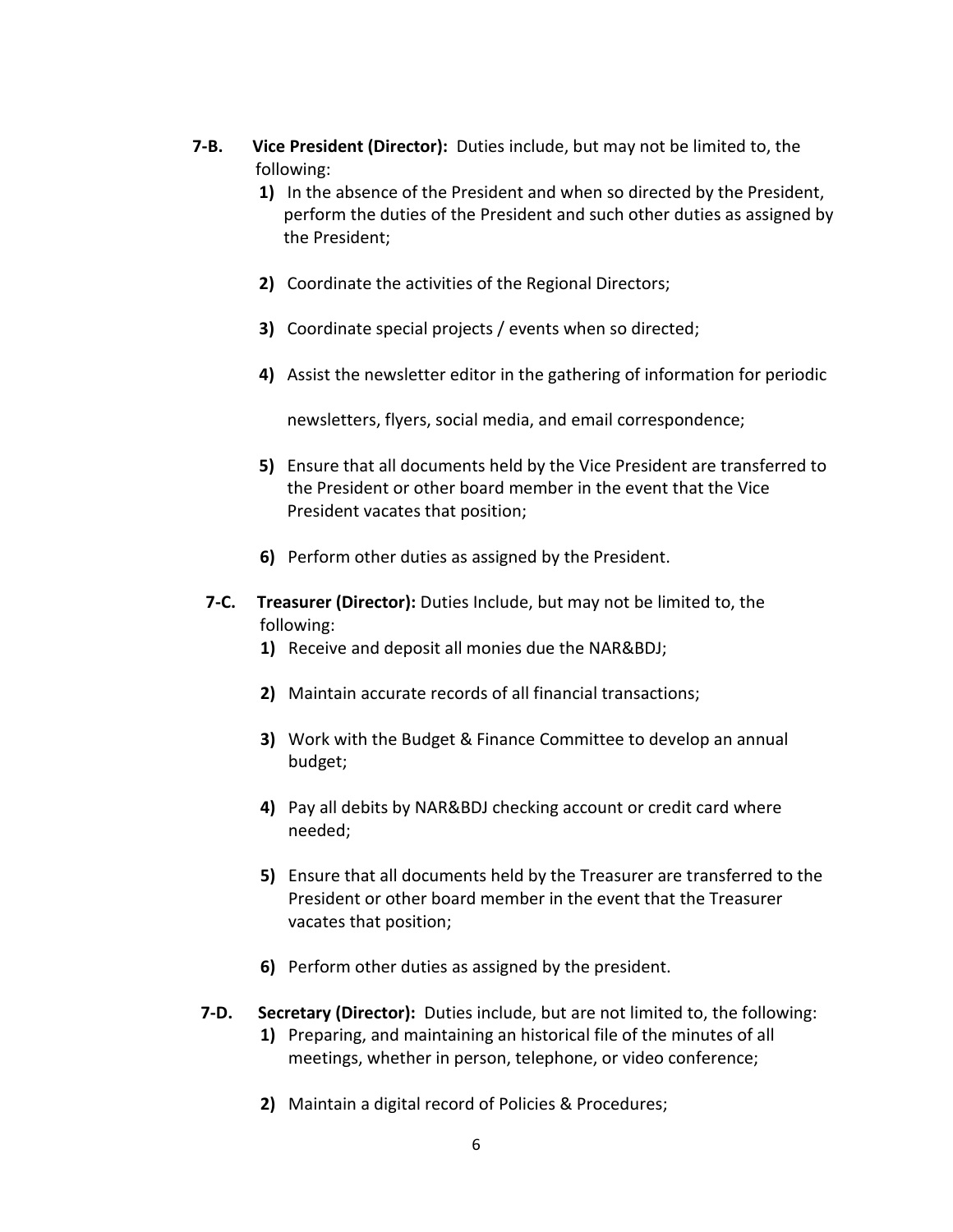- **7-B. Vice President (Director):** Duties include, but may not be limited to, the following:
	- **1)** In the absence of the President and when so directed by the President, perform the duties of the President and such other duties as assigned by the President;
	- **2)** Coordinate the activities of the Regional Directors;
	- **3)** Coordinate special projects / events when so directed;
	- **4)** Assist the newsletter editor in the gathering of information for periodic

newsletters, flyers, social media, and email correspondence;

- **5)** Ensure that all documents held by the Vice President are transferred to the President or other board member in the event that the Vice President vacates that position;
- **6)** Perform other duties as assigned by the President.
- **7-C. Treasurer (Director):** Duties Include, but may not be limited to, the following:
	- **1)** Receive and deposit all monies due the NAR&BDJ;
	- **2)** Maintain accurate records of all financial transactions;
	- **3)** Work with the Budget & Finance Committee to develop an annual budget;
	- **4)** Pay all debits by NAR&BDJ checking account or credit card where needed;
	- **5)** Ensure that all documents held by the Treasurer are transferred to the President or other board member in the event that the Treasurer vacates that position;
	- **6)** Perform other duties as assigned by the president.
- **7-D. Secretary (Director):** Duties include, but are not limited to, the following: **1)** Preparing, and maintaining an historical file of the minutes of all meetings, whether in person, telephone, or video conference;
	- **2)** Maintain a digital record of Policies & Procedures;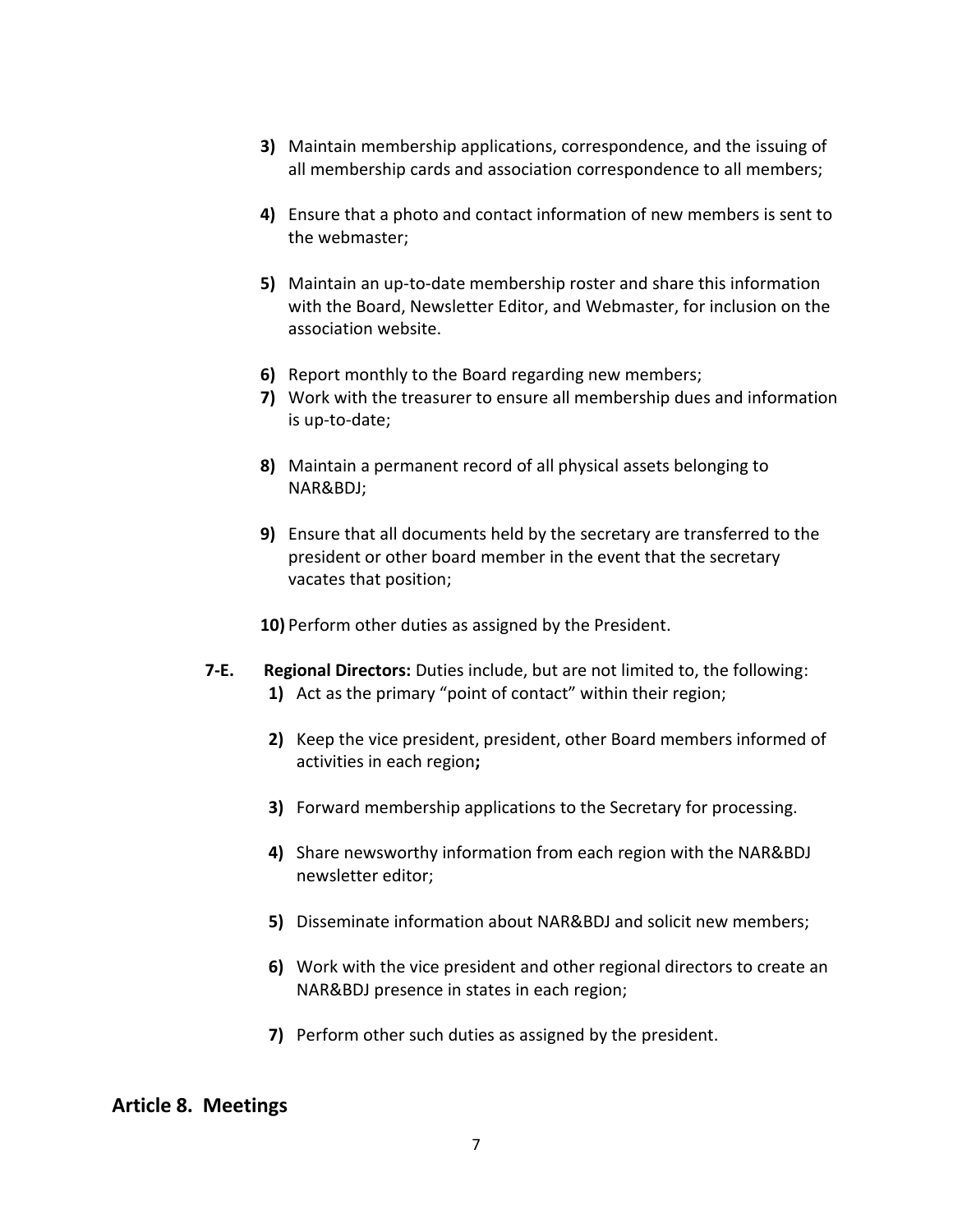- **3)** Maintain membership applications, correspondence, and the issuing of all membership cards and association correspondence to all members;
- **4)** Ensure that a photo and contact information of new members is sent to the webmaster;
- **5)** Maintain an up-to-date membership roster and share this information with the Board, Newsletter Editor, and Webmaster, for inclusion on the association website.
- **6)** Report monthly to the Board regarding new members;
- **7)** Work with the treasurer to ensure all membership dues and information is up-to-date;
- **8)** Maintain a permanent record of all physical assets belonging to NAR&BDJ;
- **9)** Ensure that all documents held by the secretary are transferred to the president or other board member in the event that the secretary vacates that position;

**10)** Perform other duties as assigned by the President.

- **7-E. Regional Directors:** Duties include, but are not limited to, the following: **1)** Act as the primary "point of contact" within their region;
	- **2)** Keep the vice president, president, other Board members informed of activities in each region**;**
	- **3)** Forward membership applications to the Secretary for processing.
	- **4)** Share newsworthy information from each region with the NAR&BDJ newsletter editor;
	- **5)** Disseminate information about NAR&BDJ and solicit new members;
	- **6)** Work with the vice president and other regional directors to create an NAR&BDJ presence in states in each region;
	- **7)** Perform other such duties as assigned by the president.

### **Article 8. Meetings**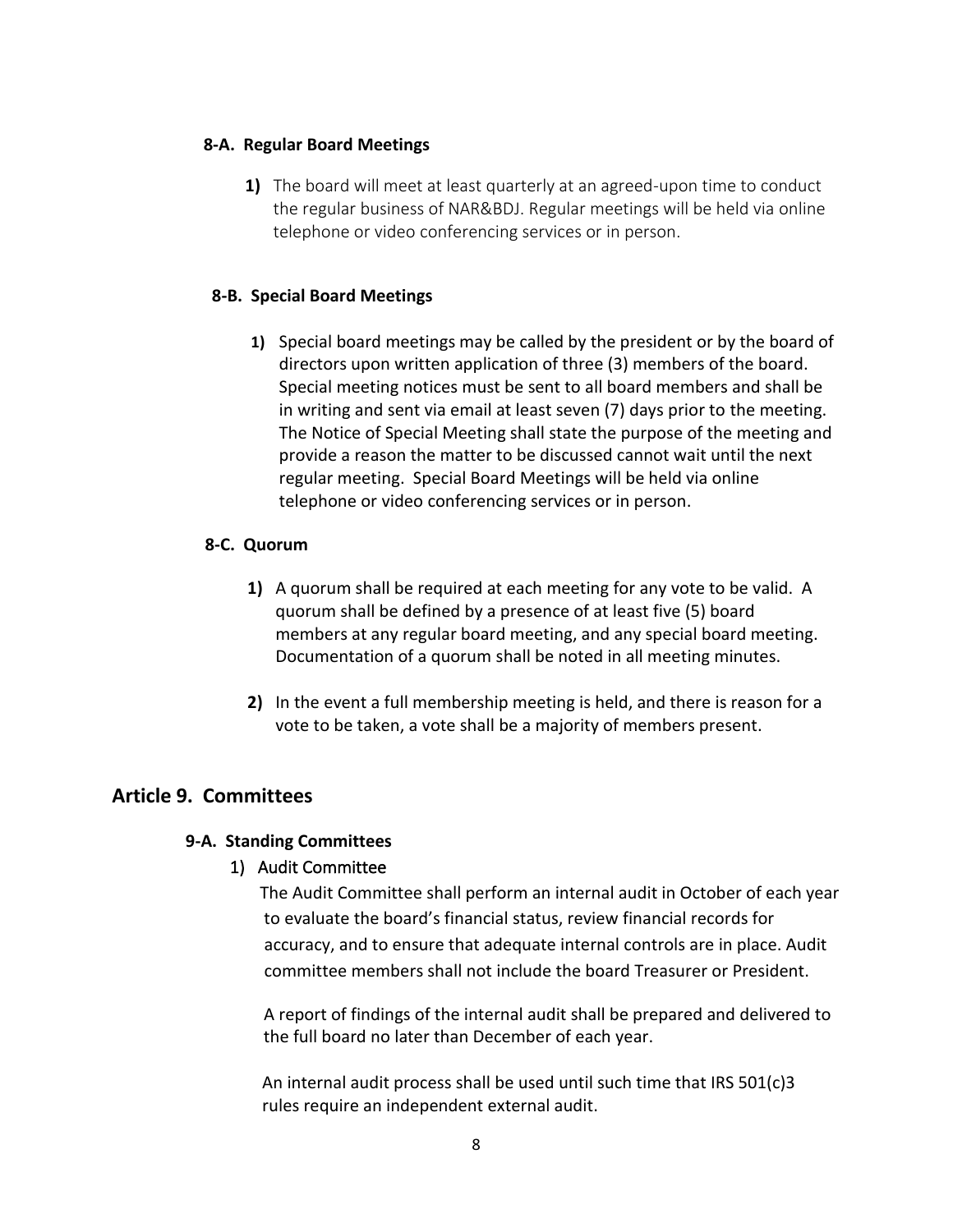### **8-A. Regular Board Meetings**

**1)** The board will meet at least quarterly at an agreed-upon time to conduct the regular business of NAR&BDJ. Regular meetings will be held via online telephone or video conferencing services or in person.

### **8-B. Special Board Meetings**

**1)** Special board meetings may be called by the president or by the board of directors upon written application of three (3) members of the board. Special meeting notices must be sent to all board members and shall be in writing and sent via email at least seven (7) days prior to the meeting. The Notice of Special Meeting shall state the purpose of the meeting and provide a reason the matter to be discussed cannot wait until the next regular meeting. Special Board Meetings will be held via online telephone or video conferencing services or in person.

### **8-C. Quorum**

- **1)** A quorum shall be required at each meeting for any vote to be valid. A quorum shall be defined by a presence of at least five (5) board members at any regular board meeting, and any special board meeting. Documentation of a quorum shall be noted in all meeting minutes.
- **2)** In the event a full membership meeting is held, and there is reason for a vote to be taken, a vote shall be a majority of members present.

### **Article 9. Committees**

### **9-A. Standing Committees**

### 1) Audit Committee

 The Audit Committee shall perform an internal audit in October of each year to evaluate the board's financial status, review financial records for accuracy, and to ensure that adequate internal controls are in place. Audit committee members shall not include the board Treasurer or President.

 A report of findings of the internal audit shall be prepared and delivered to the full board no later than December of each year.

An internal audit process shall be used until such time that IRS 501(c)3 rules require an independent external audit.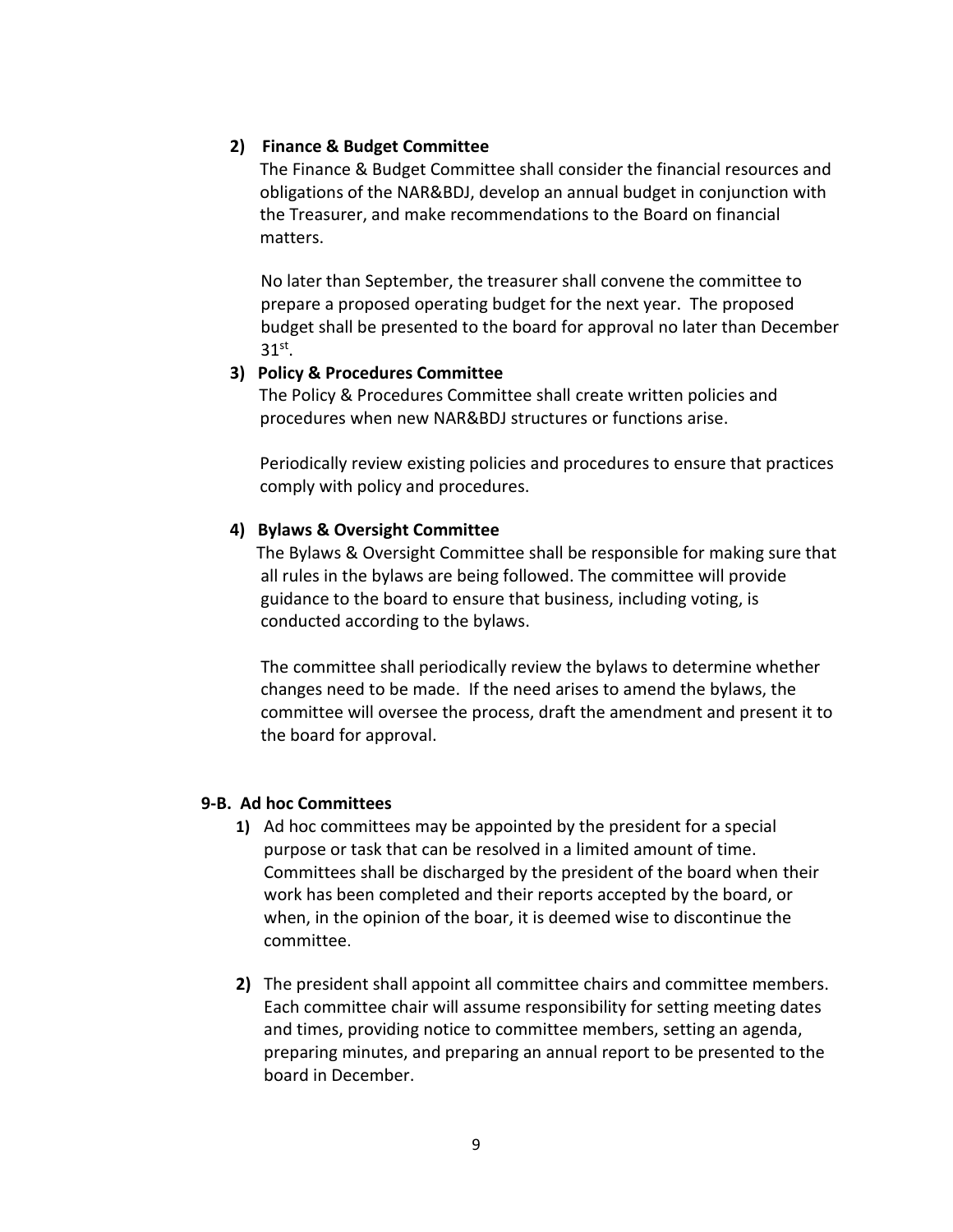### **2) Finance & Budget Committee**

 The Finance & Budget Committee shall consider the financial resources and obligations of the NAR&BDJ, develop an annual budget in conjunction with the Treasurer, and make recommendations to the Board on financial matters.

 No later than September, the treasurer shall convene the committee to prepare a proposed operating budget for the next year. The proposed budget shall be presented to the board for approval no later than December  $31<sup>st</sup>$ .

#### **3) Policy & Procedures Committee**

 The Policy & Procedures Committee shall create written policies and procedures when new NAR&BDJ structures or functions arise.

 Periodically review existing policies and procedures to ensure that practices comply with policy and procedures.

### **4) Bylaws & Oversight Committee**

The Bylaws & Oversight Committee shall be responsible for making sure that all rules in the bylaws are being followed. The committee will provide guidance to the board to ensure that business, including voting, is conducted according to the bylaws.

 The committee shall periodically review the bylaws to determine whether changes need to be made. If the need arises to amend the bylaws, the committee will oversee the process, draft the amendment and present it to the board for approval.

### **9-B. Ad hoc Committees**

- **1)** Ad hoc committees may be appointed by the president for a special purpose or task that can be resolved in a limited amount of time. Committees shall be discharged by the president of the board when their work has been completed and their reports accepted by the board, or when, in the opinion of the boar, it is deemed wise to discontinue the committee.
- **2)** The president shall appoint all committee chairs and committee members. Each committee chair will assume responsibility for setting meeting dates and times, providing notice to committee members, setting an agenda, preparing minutes, and preparing an annual report to be presented to the board in December.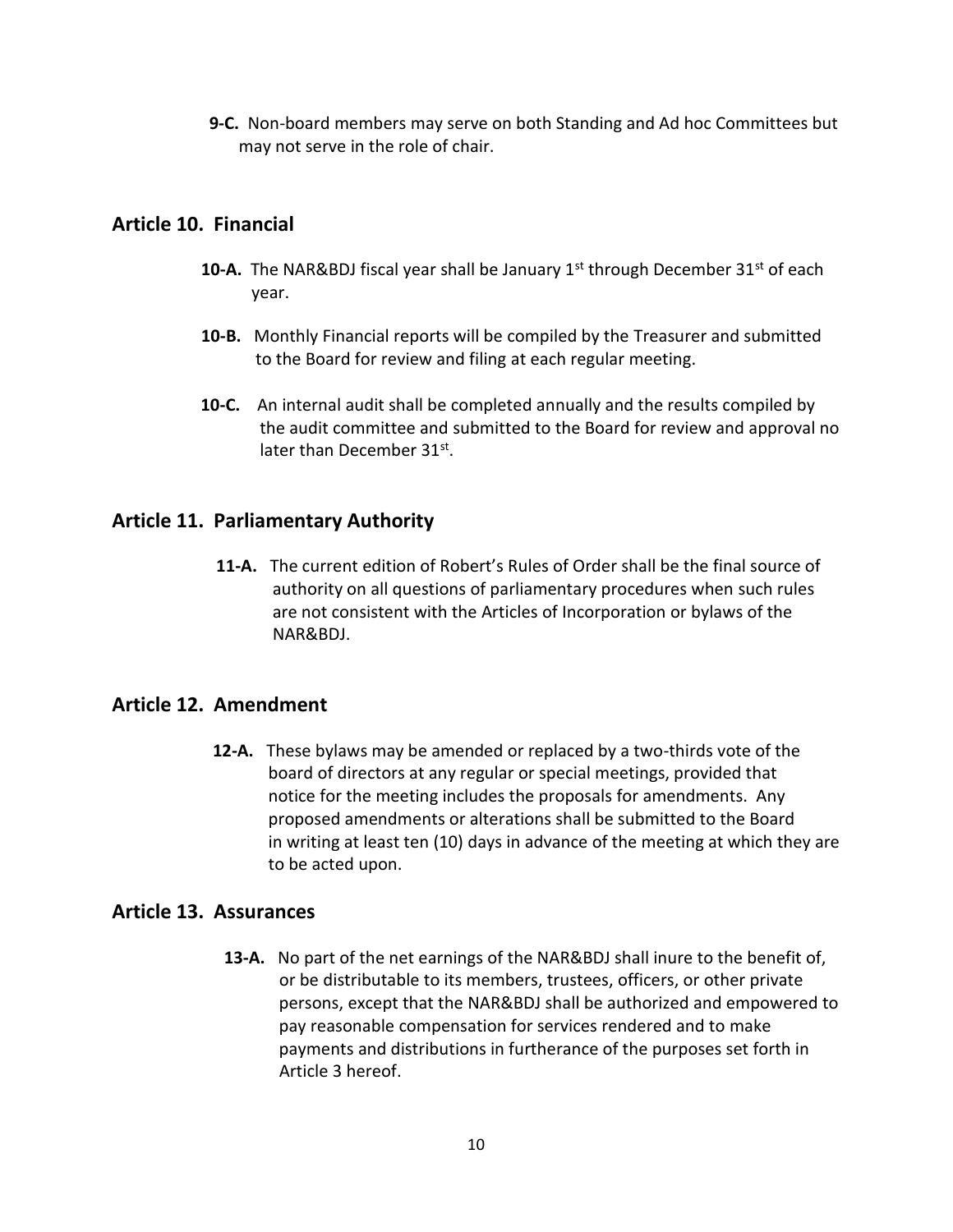**9-C.** Non-board members may serve on both Standing and Ad hoc Committees but may not serve in the role of chair.

# **Article 10. Financial**

- **10-A.** The NAR&BDJ fiscal year shall be January 1<sup>st</sup> through December 31<sup>st</sup> of each year.
- **10-B.** Monthly Financial reports will be compiled by the Treasurer and submitted to the Board for review and filing at each regular meeting.
- **10-C.** An internal audit shall be completed annually and the results compiled by the audit committee and submitted to the Board for review and approval no later than December 31st.

# **Article 11. Parliamentary Authority**

 **11-A.** The current edition of Robert's Rules of Order shall be the final source of authority on all questions of parliamentary procedures when such rules are not consistent with the Articles of Incorporation or bylaws of the NAR&BDJ.

# **Article 12. Amendment**

**12-A.** These bylaws may be amended or replaced by a two-thirds vote of the board of directors at any regular or special meetings, provided that notice for the meeting includes the proposals for amendments. Any proposed amendments or alterations shall be submitted to the Board in writing at least ten (10) days in advance of the meeting at which they are to be acted upon.

# **Article 13. Assurances**

**13-A.** No part of the net earnings of the NAR&BDJ shall inure to the benefit of, or be distributable to its members, trustees, officers, or other private persons, except that the NAR&BDJ shall be authorized and empowered to pay reasonable compensation for services rendered and to make payments and distributions in furtherance of the purposes set forth in Article 3 hereof.